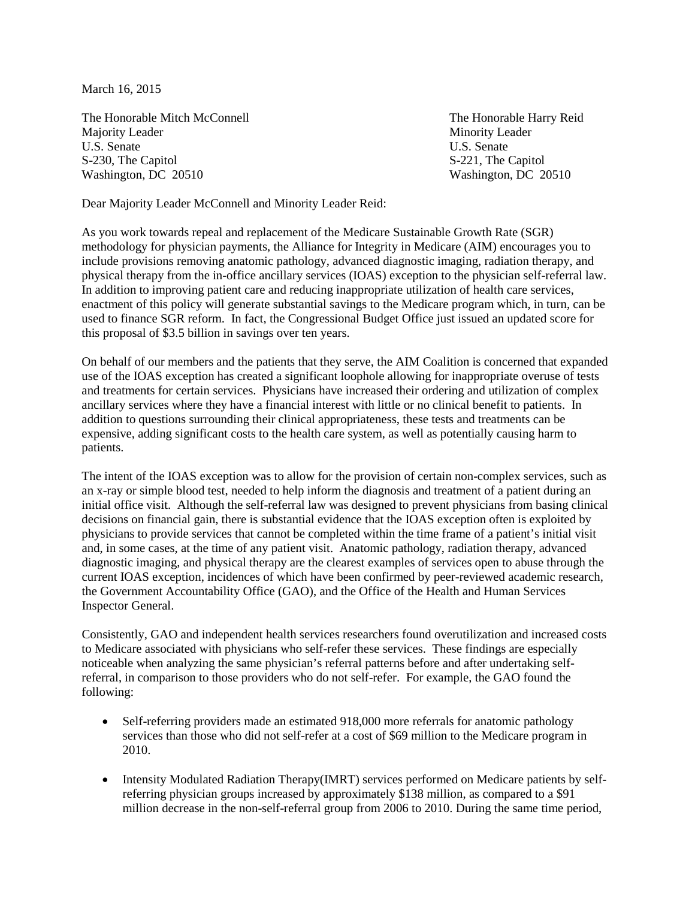March 16, 2015

The Honorable Mitch McConnell The Honorable Harry Reid Majority Leader Minority Leader U.S. Senate U.S. Senate U.S. Senate S-230, The Capitol S-230, The Capitol S-221, The Capitol S-221, The Capitol Washington, DC 20510 Washington, DC 20510

Dear Majority Leader McConnell and Minority Leader Reid:

As you work towards repeal and replacement of the Medicare Sustainable Growth Rate (SGR) methodology for physician payments, the Alliance for Integrity in Medicare (AIM) encourages you to include provisions removing anatomic pathology, advanced diagnostic imaging, radiation therapy, and physical therapy from the in-office ancillary services (IOAS) exception to the physician self-referral law. In addition to improving patient care and reducing inappropriate utilization of health care services, enactment of this policy will generate substantial savings to the Medicare program which, in turn, can be used to finance SGR reform. In fact, the Congressional Budget Office just issued an updated score for this proposal of \$3.5 billion in savings over ten years.

On behalf of our members and the patients that they serve, the AIM Coalition is concerned that expanded use of the IOAS exception has created a significant loophole allowing for inappropriate overuse of tests and treatments for certain services. Physicians have increased their ordering and utilization of complex ancillary services where they have a financial interest with little or no clinical benefit to patients. In addition to questions surrounding their clinical appropriateness, these tests and treatments can be expensive, adding significant costs to the health care system, as well as potentially causing harm to patients.

The intent of the IOAS exception was to allow for the provision of certain non-complex services, such as an x-ray or simple blood test, needed to help inform the diagnosis and treatment of a patient during an initial office visit. Although the self-referral law was designed to prevent physicians from basing clinical decisions on financial gain, there is substantial evidence that the IOAS exception often is exploited by physicians to provide services that cannot be completed within the time frame of a patient's initial visit and, in some cases, at the time of any patient visit. Anatomic pathology, radiation therapy, advanced diagnostic imaging, and physical therapy are the clearest examples of services open to abuse through the current IOAS exception, incidences of which have been confirmed by peer-reviewed academic research, the Government Accountability Office (GAO), and the Office of the Health and Human Services Inspector General.

Consistently, GAO and independent health services researchers found overutilization and increased costs to Medicare associated with physicians who self-refer these services. These findings are especially noticeable when analyzing the same physician's referral patterns before and after undertaking selfreferral, in comparison to those providers who do not self-refer. For example, the GAO found the following:

- Self-referring providers made an estimated 918,000 more referrals for anatomic pathology services than those who did not self-refer at a cost of \$69 million to the Medicare program in 2010.
- Intensity Modulated Radiation Therapy(IMRT) services performed on Medicare patients by selfreferring physician groups increased by approximately \$138 million, as compared to a \$91 million decrease in the non-self-referral group from 2006 to 2010. During the same time period,